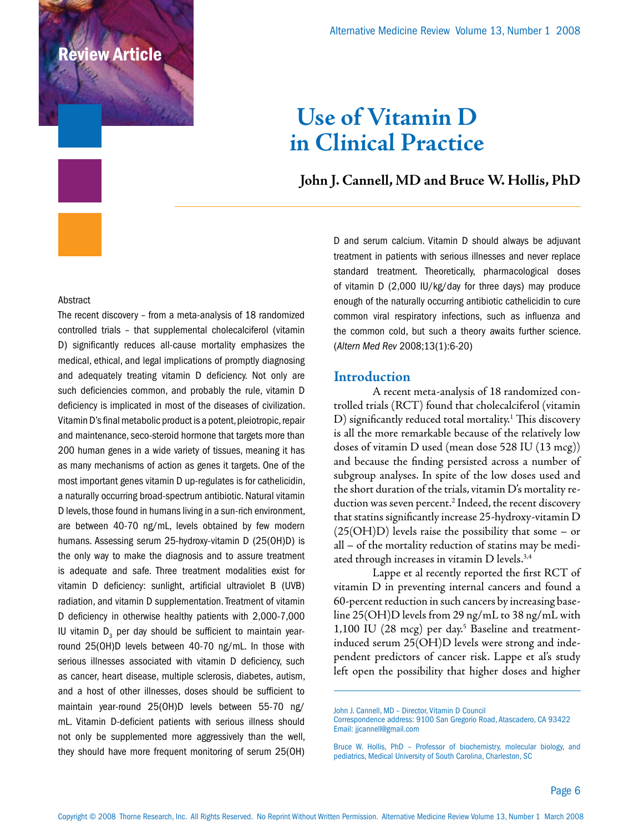# iew Article

# **Use of Vitamin D in Clinical Practice**

### **John J. Cannell, MD and Bruce W. Hollis, PhD**

#### Abstract

The recent discovery – from a meta-analysis of 18 randomized controlled trials – that supplemental cholecalciferol (vitamin D) significantly reduces all-cause mortality emphasizes the medical, ethical, and legal implications of promptly diagnosing and adequately treating vitamin D deficiency. Not only are such deficiencies common, and probably the rule, vitamin D deficiency is implicated in most of the diseases of civilization. Vitamin D's final metabolic product is a potent, pleiotropic, repair and maintenance, seco-steroid hormone that targets more than 200 human genes in a wide variety of tissues, meaning it has as many mechanisms of action as genes it targets. One of the most important genes vitamin D up-regulates is for cathelicidin, a naturally occurring broad-spectrum antibiotic. Natural vitamin D levels, those found in humans living in a sun-rich environment, are between 40-70 ng/mL, levels obtained by few modern humans. Assessing serum 25-hydroxy-vitamin D (25(OH)D) is the only way to make the diagnosis and to assure treatment is adequate and safe. Three treatment modalities exist for vitamin D deficiency: sunlight, artificial ultraviolet B (UVB) radiation, and vitamin D supplementation. Treatment of vitamin D deficiency in otherwise healthy patients with 2,000-7,000 IU vitamin  $D_3$  per day should be sufficient to maintain yearround 25(OH)D levels between 40-70 ng/mL. In those with serious illnesses associated with vitamin D deficiency, such as cancer, heart disease, multiple sclerosis, diabetes, autism, and a host of other illnesses, doses should be sufficient to maintain year-round 25(OH)D levels between 55-70 ng/ mL. Vitamin D-deficient patients with serious illness should not only be supplemented more aggressively than the well, they should have more frequent monitoring of serum 25(OH) D and serum calcium. Vitamin D should always be adjuvant treatment in patients with serious illnesses and never replace standard treatment. Theoretically, pharmacological doses of vitamin D (2,000 IU/kg/day for three days) may produce enough of the naturally occurring antibiotic cathelicidin to cure common viral respiratory infections, such as influenza and the common cold, but such a theory awaits further science. (*Altern Med Rev* 2008;13(1):6-20)

#### **Introduction**

A recent meta-analysis of 18 randomized controlled trials (RCT) found that cholecalciferol (vitamin D) significantly reduced total mortality.1 This discovery is all the more remarkable because of the relatively low doses of vitamin D used (mean dose 528 IU (13 mcg)) and because the finding persisted across a number of subgroup analyses. In spite of the low doses used and the short duration of the trials, vitamin D's mortality reduction was seven percent.2 Indeed, the recent discovery that statins significantly increase 25-hydroxy-vitamin D  $(25(OH)D)$  levels raise the possibility that some – or all – of the mortality reduction of statins may be mediated through increases in vitamin D levels.<sup>3,4</sup>

Lappe et al recently reported the first RCT of vitamin D in preventing internal cancers and found a 60-percent reduction in such cancers by increasing baseline 25(OH)D levels from 29 ng/mL to 38 ng/mL with 1,100 IU (28 mcg) per day.<sup>5</sup> Baseline and treatmentinduced serum 25(OH)D levels were strong and independent predictors of cancer risk. Lappe et al's study left open the possibility that higher doses and higher

John J. Cannell, MD – Director, Vitamin D Council

Correspondence address: 9100 San Gregorio Road, Atascadero, CA 93422 Email: jjcannell@gmail.com

Bruce W. Hollis, PhD – Professor of biochemistry, molecular biology, and pediatrics, Medical University of South Carolina, Charleston, SC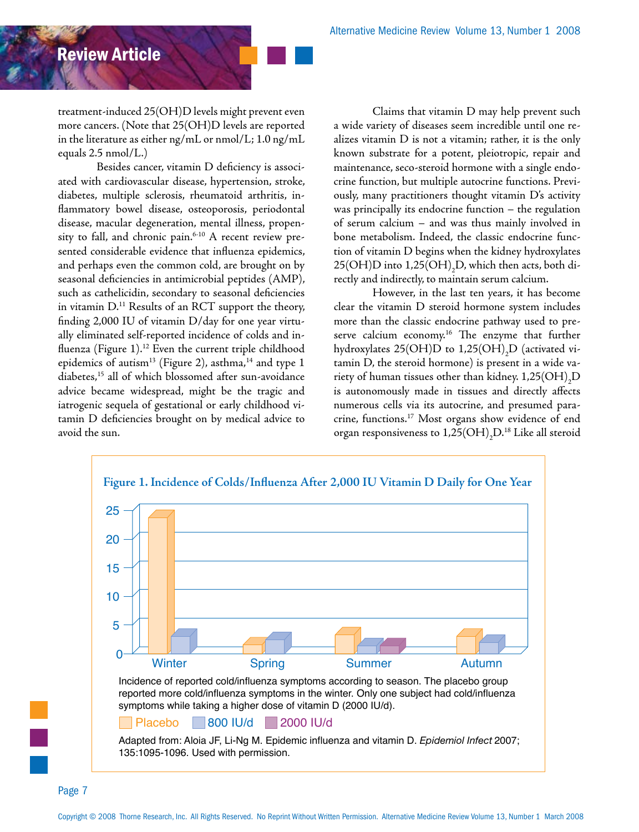treatment-induced 25(OH)D levels might prevent even more cancers. (Note that 25(OH)D levels are reported in the literature as either ng/mL or nmol/L; 1.0 ng/mL equals 2.5 nmol/L.)

Besides cancer, vitamin D deficiency is associated with cardiovascular disease, hypertension, stroke, diabetes, multiple sclerosis, rheumatoid arthritis, inflammatory bowel disease, osteoporosis, periodontal disease, macular degeneration, mental illness, propensity to fall, and chronic pain. $6-10$  A recent review presented considerable evidence that influenza epidemics, and perhaps even the common cold, are brought on by seasonal deficiencies in antimicrobial peptides (AMP), such as cathelicidin, secondary to seasonal deficiencies in vitamin  $D<sup>11</sup>$  Results of an RCT support the theory, finding 2,000 IU of vitamin D/day for one year virtually eliminated self-reported incidence of colds and influenza (Figure 1).<sup>12</sup> Even the current triple childhood epidemics of autism<sup>13</sup> (Figure 2), asthma,<sup>14</sup> and type 1 diabetes,15 all of which blossomed after sun-avoidance advice became widespread, might be the tragic and iatrogenic sequela of gestational or early childhood vitamin D deficiencies brought on by medical advice to avoid the sun.

Claims that vitamin D may help prevent such a wide variety of diseases seem incredible until one realizes vitamin D is not a vitamin; rather, it is the only known substrate for a potent, pleiotropic, repair and maintenance, seco-steroid hormone with a single endocrine function, but multiple autocrine functions. Previously, many practitioners thought vitamin D's activity was principally its endocrine function – the regulation of serum calcium – and was thus mainly involved in bone metabolism. Indeed, the classic endocrine function of vitamin D begins when the kidney hydroxylates 25(OH)D into  $1,25({\rm OH})_2{\rm D}$ , which then acts, both directly and indirectly, to maintain serum calcium.

However, in the last ten years, it has become clear the vitamin D steroid hormone system includes more than the classic endocrine pathway used to preserve calcium economy.<sup>16</sup> The enzyme that further hydroxylates 25(OH)D to 1,25(OH) $_{2}$ D (activated vitamin D, the steroid hormone) is present in a wide variety of human tissues other than kidney.  $1,\!25\mathrm{(OH)}_{2}\mathrm{D}$ is autonomously made in tissues and directly affects numerous cells via its autocrine, and presumed paracrine, functions.17 Most organs show evidence of end organ responsiveness to  $1,\!25\mathrm{(OH)}_{2}\mathrm{D}.^{18}$  Like all steroid

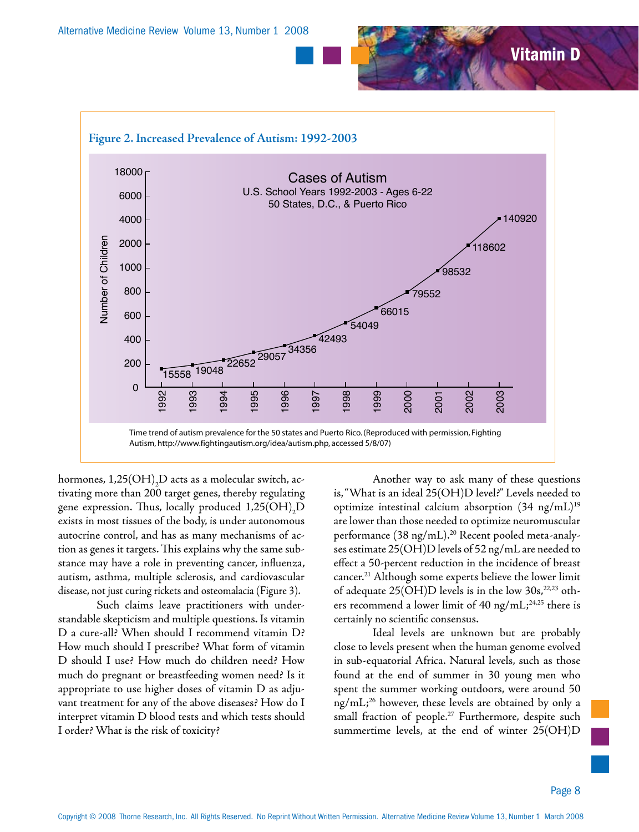

hormones,  $1,\!25({\rm OH})_2{\rm D}$  acts as a molecular switch, activating more than 200 target genes, thereby regulating gene expression. Thus, locally produced  $1,25 \text{(OH)}_{2}\text{D}$ exists in most tissues of the body, is under autonomous autocrine control, and has as many mechanisms of action as genes it targets. This explains why the same substance may have a role in preventing cancer, influenza, autism, asthma, multiple sclerosis, and cardiovascular disease, not just curing rickets and osteomalacia (Figure 3).

Such claims leave practitioners with understandable skepticism and multiple questions. Is vitamin D a cure-all? When should I recommend vitamin D? How much should I prescribe? What form of vitamin D should I use? How much do children need? How much do pregnant or breastfeeding women need? Is it appropriate to use higher doses of vitamin D as adjuvant treatment for any of the above diseases? How do I interpret vitamin D blood tests and which tests should I order? What is the risk of toxicity?

Another way to ask many of these questions is, "What is an ideal 25(OH)D level?" Levels needed to optimize intestinal calcium absorption  $(34 \text{ ng/mL})^{19}$ are lower than those needed to optimize neuromuscular performance (38 ng/mL).<sup>20</sup> Recent pooled meta-analyses estimate 25(OH)D levels of 52 ng/mL are needed to effect a 50-percent reduction in the incidence of breast cancer.<sup>21</sup> Although some experts believe the lower limit of adequate  $25(OH)D$  levels is in the low  $30s,^{22,23}$  others recommend a lower limit of 40 ng/mL;<sup>24,25</sup> there is certainly no scientific consensus.

Ideal levels are unknown but are probably close to levels present when the human genome evolved in sub-equatorial Africa. Natural levels, such as those found at the end of summer in 30 young men who spent the summer working outdoors, were around 50  $ng/mL;^{26}$  however, these levels are obtained by only a small fraction of people.<sup>27</sup> Furthermore, despite such summertime levels, at the end of winter 25(OH)D

Vitamin D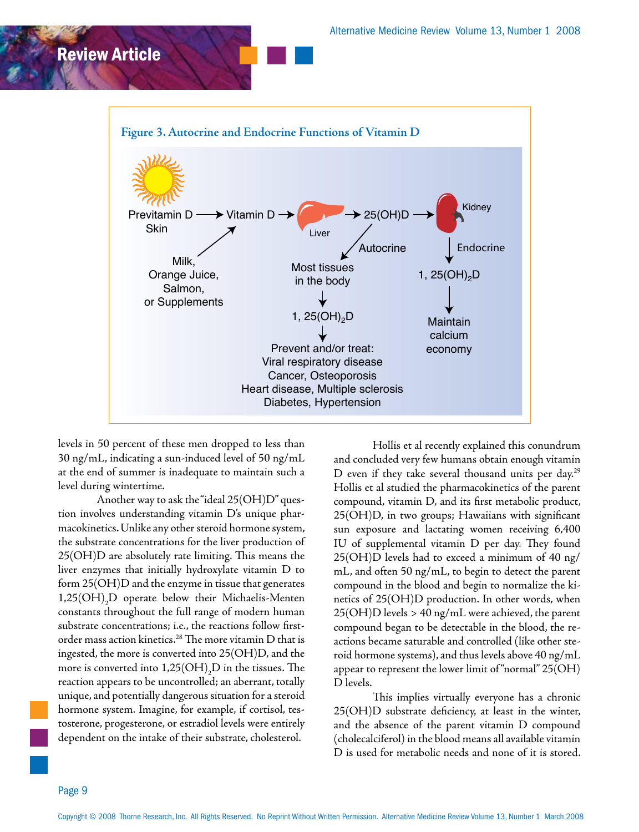

levels in 50 percent of these men dropped to less than 30 ng/mL, indicating a sun-induced level of 50 ng/mL at the end of summer is inadequate to maintain such a level during wintertime.

Another way to ask the "ideal 25(OH)D" question involves understanding vitamin D's unique pharmacokinetics. Unlike any other steroid hormone system, the substrate concentrations for the liver production of 25(OH)D are absolutely rate limiting. This means the liver enzymes that initially hydroxylate vitamin D to form 25(OH)D and the enzyme in tissue that generates  $1,25(OH)_2 D$  operate below their Michaelis-Menten constants throughout the full range of modern human substrate concentrations; i.e., the reactions follow firstorder mass action kinetics.28 The more vitamin D that is ingested, the more is converted into 25(OH)D, and the more is converted into  $1,\!25\mathrm{(OH)}_2\mathrm{D}$  in the tissues. The reaction appears to be uncontrolled; an aberrant, totally unique, and potentially dangerous situation for a steroid hormone system. Imagine, for example, if cortisol, testosterone, progesterone, or estradiol levels were entirely dependent on the intake of their substrate, cholesterol.

Hollis et al recently explained this conundrum and concluded very few humans obtain enough vitamin D even if they take several thousand units per day.29 Hollis et al studied the pharmacokinetics of the parent compound, vitamin D, and its first metabolic product, 25(OH)D, in two groups; Hawaiians with significant sun exposure and lactating women receiving 6,400 IU of supplemental vitamin D per day. They found 25(OH)D levels had to exceed a minimum of 40 ng/ mL, and often 50 ng/mL, to begin to detect the parent compound in the blood and begin to normalize the kinetics of 25(OH)D production. In other words, when  $25(OH)D$  levels > 40 ng/mL were achieved, the parent compound began to be detectable in the blood, the reactions became saturable and controlled (like other steroid hormone systems), and thus levels above 40 ng/mL appear to represent the lower limit of "normal" 25(OH) D levels.

This implies virtually everyone has a chronic 25(OH)D substrate deficiency, at least in the winter, and the absence of the parent vitamin D compound (cholecalciferol) in the blood means all available vitamin D is used for metabolic needs and none of it is stored.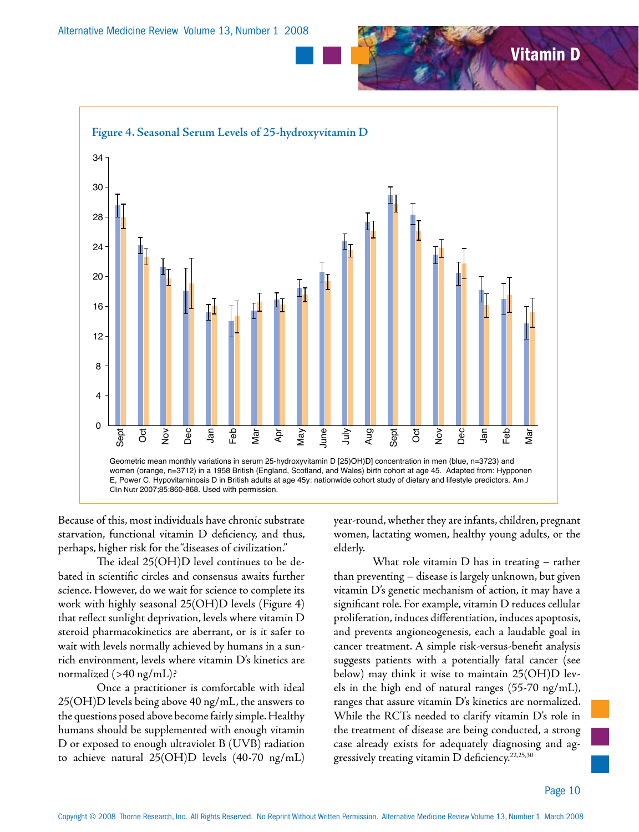

Because of this, most individuals have chronic substrate starvation, functional vitamin D deficiency, and thus, perhaps, higher risk for the "diseases of civilization."

The ideal 25(OH)D level continues to be debated in scientific circles and consensus awaits further science. However, do we wait for science to complete its work with highly seasonal 25(OH)D levels (Figure 4) that reflect sunlight deprivation, levels where vitamin D steroid pharmacokinetics are aberrant, or is it safer to wait with levels normally achieved by humans in a sunrich environment, levels where vitamin D's kinetics are normalized (>40 ng/mL)?

Once a practitioner is comfortable with ideal 25(OH)D levels being above 40 ng/mL, the answers to the questions posed above become fairly simple. Healthy humans should be supplemented with enough vitamin D or exposed to enough ultraviolet B (UVB) radiation to achieve natural 25(OH)D levels (40-70 ng/mL) year-round, whether they are infants, children, pregnant women, lactating women, healthy young adults, or the elderly.

What role vitamin D has in treating – rather than preventing – disease is largely unknown, but given vitamin D's genetic mechanism of action, it may have a significant role. For example, vitamin D reduces cellular proliferation, induces differentiation, induces apoptosis, and prevents angioneogenesis, each a laudable goal in cancer treatment. A simple risk-versus-benefit analysis suggests patients with a potentially fatal cancer (see below) may think it wise to maintain 25(OH)D levels in the high end of natural ranges (55-70 ng/mL), ranges that assure vitamin D's kinetics are normalized. While the RCTs needed to clarify vitamin D's role in the treatment of disease are being conducted, a strong case already exists for adequately diagnosing and aggressively treating vitamin D deficiency.<sup>22,25,30</sup>

Vitamin D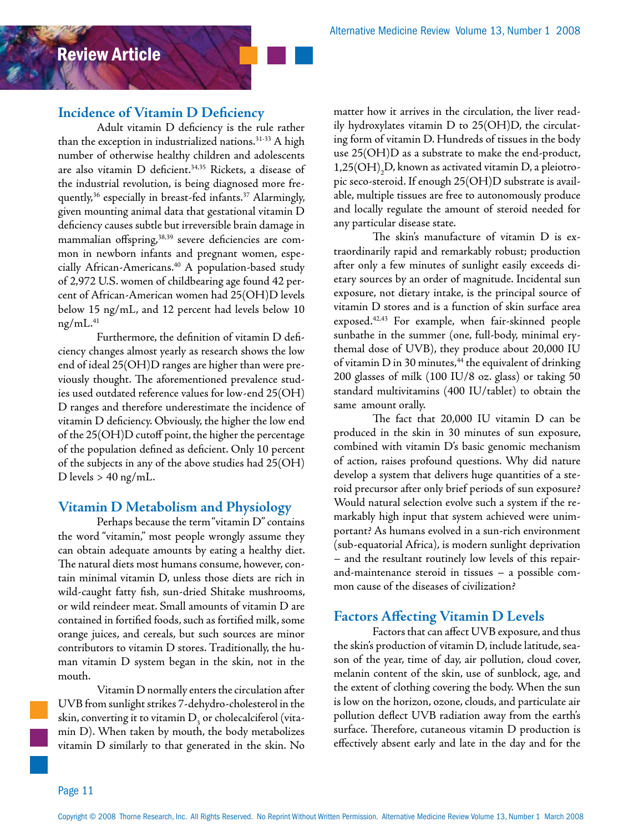### **Incidence of Vitamin D Deficiency**

Adult vitamin D deficiency is the rule rather than the exception in industrialized nations.<sup>31-33</sup> A high number of otherwise healthy children and adolescents are also vitamin D deficient.<sup>34,35</sup> Rickets, a disease of the industrial revolution, is being diagnosed more frequently,<sup>36</sup> especially in breast-fed infants.<sup>37</sup> Alarmingly, given mounting animal data that gestational vitamin D deficiency causes subtle but irreversible brain damage in mammalian offspring,<sup>38,39</sup> severe deficiencies are common in newborn infants and pregnant women, especially African-Americans.<sup>40</sup> A population-based study of 2,972 U.S. women of childbearing age found 42 percent of African-American women had 25(OH)D levels below 15 ng/mL, and 12 percent had levels below 10  $n\text{g/mL}$ .<sup>41</sup>

Furthermore, the definition of vitamin D deficiency changes almost yearly as research shows the low end of ideal 25(OH)D ranges are higher than were previously thought. The aforementioned prevalence studies used outdated reference values for low-end 25(OH) D ranges and therefore underestimate the incidence of vitamin D deficiency. Obviously, the higher the low end of the 25(OH)D cutoff point, the higher the percentage of the population defined as deficient. Only 10 percent of the subjects in any of the above studies had 25(OH) D levels  $> 40$  ng/mL.

### **Vitamin D Metabolism and Physiology**

Perhaps because the term "vitamin D" contains the word "vitamin," most people wrongly assume they can obtain adequate amounts by eating a healthy diet. The natural diets most humans consume, however, contain minimal vitamin D, unless those diets are rich in wild-caught fatty fish, sun-dried Shitake mushrooms, or wild reindeer meat. Small amounts of vitamin D are contained in fortified foods, such as fortified milk, some orange juices, and cereals, but such sources are minor contributors to vitamin D stores. Traditionally, the human vitamin D system began in the skin, not in the mouth.

Vitamin D normally enters the circulation after UVB from sunlight strikes 7-dehydro-cholesterol in the skin, converting it to vitamin  $\mathrm{D}_{\mathfrak{z}}$  or cholecalciferol (vitamin D). When taken by mouth, the body metabolizes vitamin D similarly to that generated in the skin. No

matter how it arrives in the circulation, the liver readily hydroxylates vitamin D to 25(OH)D, the circulating form of vitamin D. Hundreds of tissues in the body use 25(OH)D as a substrate to make the end-product, 1,25(OH)<sub>2</sub>D, known as activated vitamin D, a pleiotropic seco-steroid. If enough 25(OH)D substrate is available, multiple tissues are free to autonomously produce and locally regulate the amount of steroid needed for any particular disease state.

The skin's manufacture of vitamin D is extraordinarily rapid and remarkably robust; production after only a few minutes of sunlight easily exceeds dietary sources by an order of magnitude. Incidental sun exposure, not dietary intake, is the principal source of vitamin D stores and is a function of skin surface area exposed.42,43 For example, when fair-skinned people sunbathe in the summer (one, full-body, minimal erythemal dose of UVB), they produce about 20,000 IU of vitamin  $D$  in 30 minutes, $44$  the equivalent of drinking 200 glasses of milk (100 IU/8 oz. glass) or taking 50 standard multivitamins (400 IU/tablet) to obtain the same amount orally.

The fact that 20,000 IU vitamin D can be produced in the skin in 30 minutes of sun exposure, combined with vitamin D's basic genomic mechanism of action, raises profound questions. Why did nature develop a system that delivers huge quantities of a steroid precursor after only brief periods of sun exposure? Would natural selection evolve such a system if the remarkably high input that system achieved were unimportant? As humans evolved in a sun-rich environment (sub-equatorial Africa), is modern sunlight deprivation – and the resultant routinely low levels of this repairand-maintenance steroid in tissues – a possible common cause of the diseases of civilization?

### **Factors Affecting Vitamin D Levels**

Factors that can affect UVB exposure, and thus the skin's production of vitamin D, include latitude, season of the year, time of day, air pollution, cloud cover, melanin content of the skin, use of sunblock, age, and the extent of clothing covering the body. When the sun is low on the horizon, ozone, clouds, and particulate air pollution deflect UVB radiation away from the earth's surface. Therefore, cutaneous vitamin D production is effectively absent early and late in the day and for the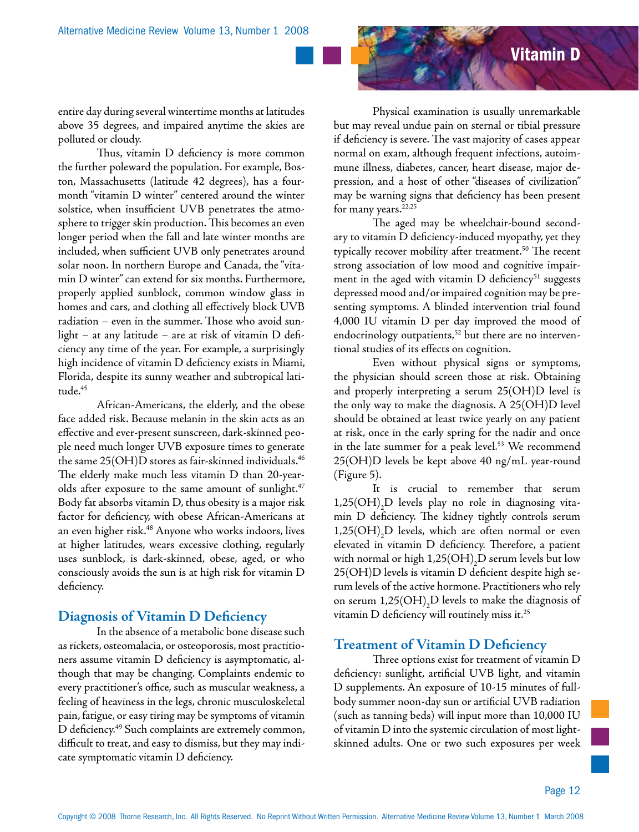

entire day during several wintertime months at latitudes above 35 degrees, and impaired anytime the skies are polluted or cloudy.

Thus, vitamin D deficiency is more common the further poleward the population. For example, Boston, Massachusetts (latitude 42 degrees), has a fourmonth "vitamin D winter" centered around the winter solstice, when insufficient UVB penetrates the atmosphere to trigger skin production. This becomes an even longer period when the fall and late winter months are included, when sufficient UVB only penetrates around solar noon. In northern Europe and Canada, the "vitamin D winter" can extend for six months. Furthermore, properly applied sunblock, common window glass in homes and cars, and clothing all effectively block UVB radiation – even in the summer. Those who avoid sunlight – at any latitude – are at risk of vitamin D deficiency any time of the year. For example, a surprisingly high incidence of vitamin D deficiency exists in Miami, Florida, despite its sunny weather and subtropical latitude.45

African-Americans, the elderly, and the obese face added risk. Because melanin in the skin acts as an effective and ever-present sunscreen, dark-skinned people need much longer UVB exposure times to generate the same 25(OH)D stores as fair-skinned individuals.46 The elderly make much less vitamin D than 20-yearolds after exposure to the same amount of sunlight.<sup>47</sup> Body fat absorbs vitamin D, thus obesity is a major risk factor for deficiency, with obese African-Americans at an even higher risk.<sup>48</sup> Anyone who works indoors, lives at higher latitudes, wears excessive clothing, regularly uses sunblock, is dark-skinned, obese, aged, or who consciously avoids the sun is at high risk for vitamin D deficiency.

### **Diagnosis of Vitamin D Deficiency**

In the absence of a metabolic bone disease such as rickets, osteomalacia, or osteoporosis, most practitioners assume vitamin D deficiency is asymptomatic, although that may be changing. Complaints endemic to every practitioner's office, such as muscular weakness, a feeling of heaviness in the legs, chronic musculoskeletal pain, fatigue, or easy tiring may be symptoms of vitamin D deficiency.49 Such complaints are extremely common, difficult to treat, and easy to dismiss, but they may indicate symptomatic vitamin D deficiency.

Physical examination is usually unremarkable but may reveal undue pain on sternal or tibial pressure if deficiency is severe. The vast majority of cases appear normal on exam, although frequent infections, autoimmune illness, diabetes, cancer, heart disease, major depression, and a host of other "diseases of civilization" may be warning signs that deficiency has been present for many years.<sup>22,25</sup>

The aged may be wheelchair-bound secondary to vitamin D deficiency-induced myopathy, yet they typically recover mobility after treatment.<sup>50</sup> The recent strong association of low mood and cognitive impairment in the aged with vitamin  $D$  deficiency<sup>51</sup> suggests depressed mood and/or impaired cognition may be presenting symptoms. A blinded intervention trial found 4,000 IU vitamin D per day improved the mood of endocrinology outpatients,<sup>52</sup> but there are no interventional studies of its effects on cognition.

Even without physical signs or symptoms, the physician should screen those at risk. Obtaining and properly interpreting a serum 25(OH)D level is the only way to make the diagnosis. A 25(OH)D level should be obtained at least twice yearly on any patient at risk, once in the early spring for the nadir and once in the late summer for a peak level.<sup>53</sup> We recommend 25(OH)D levels be kept above 40 ng/mL year-round (Figure 5).

It is crucial to remember that serum  $1,25(OH)_{2}D$  levels play no role in diagnosing vitamin D deficiency. The kidney tightly controls serum  $1,25(OH)_{2}D$  levels, which are often normal or even elevated in vitamin D deficiency. Therefore, a patient with normal or high  $1,\!25({\rm OH})_2{\rm D}$  serum levels but low 25(OH)D levels is vitamin D deficient despite high serum levels of the active hormone. Practitioners who rely on serum  $1.25({\rm OH})_2{\rm D}$  levels to make the diagnosis of vitamin D deficiency will routinely miss it. $^{25}$ 

### **Treatment of Vitamin D Deficiency**

Three options exist for treatment of vitamin D deficiency: sunlight, artificial UVB light, and vitamin D supplements. An exposure of 10-15 minutes of fullbody summer noon-day sun or artificial UVB radiation (such as tanning beds) will input more than 10,000 IU of vitamin D into the systemic circulation of most lightskinned adults. One or two such exposures per week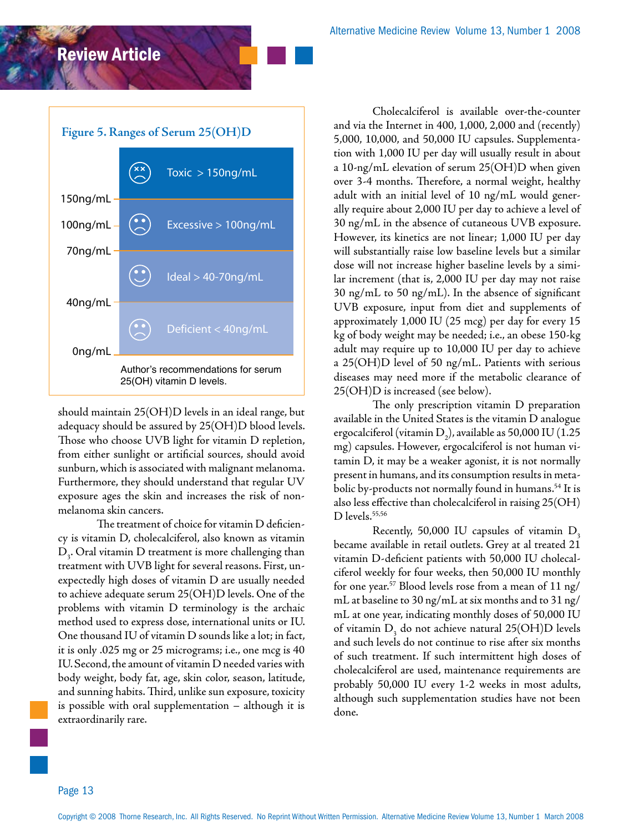



should maintain 25(OH)D levels in an ideal range, but adequacy should be assured by 25(OH)D blood levels. Those who choose UVB light for vitamin D repletion, from either sunlight or artificial sources, should avoid sunburn, which is associated with malignant melanoma. Furthermore, they should understand that regular UV exposure ages the skin and increases the risk of nonmelanoma skin cancers.

The treatment of choice for vitamin D deficiency is vitamin D, cholecalciferol, also known as vitamin  $\mathrm{D}_{\mathfrak{z}^\star}$  Oral vitamin  $\mathrm{D}$  treatment is more challenging than treatment with UVB light for several reasons. First, unexpectedly high doses of vitamin D are usually needed to achieve adequate serum 25(OH)D levels. One of the problems with vitamin D terminology is the archaic method used to express dose, international units or IU. One thousand IU of vitamin D sounds like a lot; in fact, it is only .025 mg or 25 micrograms; i.e., one mcg is 40 IU. Second, the amount of vitamin D needed varies with body weight, body fat, age, skin color, season, latitude, and sunning habits. Third, unlike sun exposure, toxicity is possible with oral supplementation – although it is extraordinarily rare.

Cholecalciferol is available over-the-counter and via the Internet in 400, 1,000, 2,000 and (recently) 5,000, 10,000, and 50,000 IU capsules. Supplementation with 1,000 IU per day will usually result in about a 10-ng/mL elevation of serum 25(OH)D when given over 3-4 months. Therefore, a normal weight, healthy adult with an initial level of 10 ng/mL would generally require about 2,000 IU per day to achieve a level of 30 ng/mL in the absence of cutaneous UVB exposure. However, its kinetics are not linear; 1,000 IU per day will substantially raise low baseline levels but a similar dose will not increase higher baseline levels by a similar increment (that is, 2,000 IU per day may not raise 30 ng/mL to 50 ng/mL). In the absence of significant UVB exposure, input from diet and supplements of approximately 1,000 IU (25 mcg) per day for every 15 kg of body weight may be needed; i.e., an obese 150-kg adult may require up to 10,000 IU per day to achieve a 25(OH)D level of 50 ng/mL. Patients with serious diseases may need more if the metabolic clearance of 25(OH)D is increased (see below).

The only prescription vitamin D preparation available in the United States is the vitamin D analogue ergocalciferol (vitamin  $\mathrm{D}_2$ ), available as 50,000 IU (1.25 mg) capsules. However, ergocalciferol is not human vitamin D, it may be a weaker agonist, it is not normally present in humans, and its consumption results in metabolic by-products not normally found in humans.<sup>54</sup> It is also less effective than cholecalciferol in raising 25(OH) D levels.<sup>55,56</sup>

Recently, 50,000 IU capsules of vitamin  $D<sub>3</sub>$ became available in retail outlets. Grey at al treated 21 vitamin D-deficient patients with 50,000 IU cholecalciferol weekly for four weeks, then 50,000 IU monthly for one year.<sup>57</sup> Blood levels rose from a mean of 11 ng/ mL at baseline to 30 ng/mL at six months and to 31 ng/ mL at one year, indicating monthly doses of 50,000 IU of vitamin  $D_3$  do not achieve natural 25(OH)D levels and such levels do not continue to rise after six months of such treatment. If such intermittent high doses of cholecalciferol are used, maintenance requirements are probably 50,000 IU every 1-2 weeks in most adults, although such supplementation studies have not been done.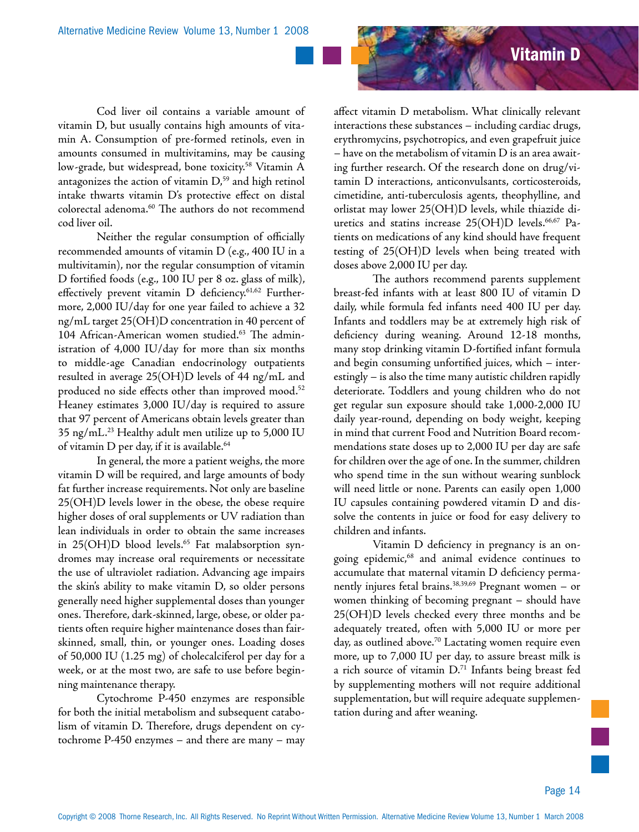

Cod liver oil contains a variable amount of vitamin D, but usually contains high amounts of vitamin A. Consumption of pre-formed retinols, even in amounts consumed in multivitamins, may be causing low-grade, but widespread, bone toxicity.<sup>58</sup> Vitamin A antagonizes the action of vitamin  $D<sub>59</sub>$  and high retinol intake thwarts vitamin D's protective effect on distal colorectal adenoma.<sup>60</sup> The authors do not recommend cod liver oil.

Neither the regular consumption of officially recommended amounts of vitamin D (e.g., 400 IU in a multivitamin), nor the regular consumption of vitamin D fortified foods (e.g., 100 IU per 8 oz. glass of milk), effectively prevent vitamin D deficiency.<sup>61,62</sup> Furthermore, 2,000 IU/day for one year failed to achieve a 32 ng/mL target 25(OH)D concentration in 40 percent of 104 African-American women studied.<sup>63</sup> The administration of 4,000 IU/day for more than six months to middle-age Canadian endocrinology outpatients resulted in average 25(OH)D levels of 44 ng/mL and produced no side effects other than improved mood.<sup>52</sup> Heaney estimates 3,000 IU/day is required to assure that 97 percent of Americans obtain levels greater than 35 ng/mL.23 Healthy adult men utilize up to 5,000 IU of vitamin D per day, if it is available.<sup>64</sup>

In general, the more a patient weighs, the more vitamin D will be required, and large amounts of body fat further increase requirements. Not only are baseline 25(OH)D levels lower in the obese, the obese require higher doses of oral supplements or UV radiation than lean individuals in order to obtain the same increases in  $25(OH)D$  blood levels.<sup>65</sup> Fat malabsorption syndromes may increase oral requirements or necessitate the use of ultraviolet radiation. Advancing age impairs the skin's ability to make vitamin D, so older persons generally need higher supplemental doses than younger ones. Therefore, dark-skinned, large, obese, or older patients often require higher maintenance doses than fairskinned, small, thin, or younger ones. Loading doses of 50,000 IU (1.25 mg) of cholecalciferol per day for a week, or at the most two, are safe to use before beginning maintenance therapy.

Cytochrome P-450 enzymes are responsible for both the initial metabolism and subsequent catabolism of vitamin D. Therefore, drugs dependent on cytochrome P-450 enzymes – and there are many – may affect vitamin D metabolism. What clinically relevant interactions these substances – including cardiac drugs, erythromycins, psychotropics, and even grapefruit juice – have on the metabolism of vitamin D is an area awaiting further research. Of the research done on drug/vitamin D interactions, anticonvulsants, corticosteroids, cimetidine, anti-tuberculosis agents, theophylline, and orlistat may lower 25(OH)D levels, while thiazide diuretics and statins increase 25(OH)D levels.<sup>66,67</sup> Patients on medications of any kind should have frequent testing of 25(OH)D levels when being treated with doses above 2,000 IU per day.

The authors recommend parents supplement breast-fed infants with at least 800 IU of vitamin D daily, while formula fed infants need 400 IU per day. Infants and toddlers may be at extremely high risk of deficiency during weaning. Around 12-18 months, many stop drinking vitamin D-fortified infant formula and begin consuming unfortified juices, which – interestingly – is also the time many autistic children rapidly deteriorate. Toddlers and young children who do not get regular sun exposure should take 1,000-2,000 IU daily year-round, depending on body weight, keeping in mind that current Food and Nutrition Board recommendations state doses up to 2,000 IU per day are safe for children over the age of one. In the summer, children who spend time in the sun without wearing sunblock will need little or none. Parents can easily open 1,000 IU capsules containing powdered vitamin D and dissolve the contents in juice or food for easy delivery to children and infants.

Vitamin D deficiency in pregnancy is an ongoing epidemic,<sup>68</sup> and animal evidence continues to accumulate that maternal vitamin D deficiency permanently injures fetal brains.<sup>38,39,69</sup> Pregnant women - or women thinking of becoming pregnant – should have 25(OH)D levels checked every three months and be adequately treated, often with 5,000 IU or more per day, as outlined above.<sup>70</sup> Lactating women require even more, up to 7,000 IU per day, to assure breast milk is a rich source of vitamin D.<sup>71</sup> Infants being breast fed by supplementing mothers will not require additional supplementation, but will require adequate supplementation during and after weaning.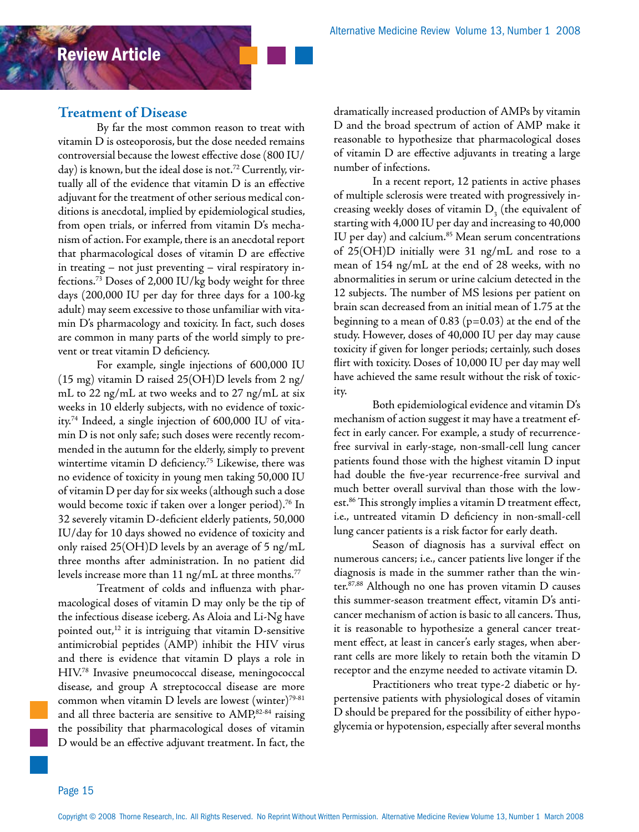### **Treatment of Disease**

By far the most common reason to treat with vitamin D is osteoporosis, but the dose needed remains controversial because the lowest effective dose (800 IU/ day) is known, but the ideal dose is not.<sup>72</sup> Currently, virtually all of the evidence that vitamin D is an effective adjuvant for the treatment of other serious medical conditions is anecdotal, implied by epidemiological studies, from open trials, or inferred from vitamin D's mechanism of action. For example, there is an anecdotal report that pharmacological doses of vitamin D are effective in treating – not just preventing – viral respiratory infections.73 Doses of 2,000 IU/kg body weight for three days (200,000 IU per day for three days for a 100-kg adult) may seem excessive to those unfamiliar with vitamin D's pharmacology and toxicity. In fact, such doses are common in many parts of the world simply to prevent or treat vitamin D deficiency.

For example, single injections of 600,000 IU (15 mg) vitamin D raised 25(OH)D levels from 2 ng/ mL to 22 ng/mL at two weeks and to 27 ng/mL at six weeks in 10 elderly subjects, with no evidence of toxicity.74 Indeed, a single injection of 600,000 IU of vitamin D is not only safe; such doses were recently recommended in the autumn for the elderly, simply to prevent wintertime vitamin D deficiency.<sup>75</sup> Likewise, there was no evidence of toxicity in young men taking 50,000 IU of vitamin D per day for six weeks (although such a dose would become toxic if taken over a longer period).<sup>76</sup> In 32 severely vitamin D-deficient elderly patients, 50,000 IU/day for 10 days showed no evidence of toxicity and only raised 25(OH)D levels by an average of 5 ng/mL three months after administration. In no patient did levels increase more than  $11$  ng/mL at three months.<sup>77</sup>

Treatment of colds and influenza with pharmacological doses of vitamin D may only be the tip of the infectious disease iceberg. As Aloia and Li-Ng have pointed out, $12$  it is intriguing that vitamin D-sensitive antimicrobial peptides (AMP) inhibit the HIV virus and there is evidence that vitamin D plays a role in HIV.78 Invasive pneumococcal disease, meningococcal disease, and group A streptococcal disease are more common when vitamin D levels are lowest (winter)<sup>79-81</sup> and all three bacteria are sensitive to AMP,82-84 raising the possibility that pharmacological doses of vitamin D would be an effective adjuvant treatment. In fact, the dramatically increased production of AMPs by vitamin D and the broad spectrum of action of AMP make it reasonable to hypothesize that pharmacological doses of vitamin D are effective adjuvants in treating a large number of infections.

In a recent report, 12 patients in active phases of multiple sclerosis were treated with progressively increasing weekly doses of vitamin  $\mathrm{D}_{_{3}}$  (the equivalent of starting with 4,000 IU per day and increasing to 40,000 IU per day) and calcium.<sup>85</sup> Mean serum concentrations of 25(OH)D initially were 31 ng/mL and rose to a mean of 154 ng/mL at the end of 28 weeks, with no abnormalities in serum or urine calcium detected in the 12 subjects. The number of MS lesions per patient on brain scan decreased from an initial mean of 1.75 at the beginning to a mean of  $0.83$  (p=0.03) at the end of the study. However, doses of 40,000 IU per day may cause toxicity if given for longer periods; certainly, such doses flirt with toxicity. Doses of 10,000 IU per day may well have achieved the same result without the risk of toxicity.

Both epidemiological evidence and vitamin D's mechanism of action suggest it may have a treatment effect in early cancer. For example, a study of recurrencefree survival in early-stage, non-small-cell lung cancer patients found those with the highest vitamin D input had double the five-year recurrence-free survival and much better overall survival than those with the lowest.<sup>86</sup> This strongly implies a vitamin D treatment effect, i.e., untreated vitamin D deficiency in non-small-cell lung cancer patients is a risk factor for early death.

Season of diagnosis has a survival effect on numerous cancers; i.e., cancer patients live longer if the diagnosis is made in the summer rather than the winter.87,88 Although no one has proven vitamin D causes this summer-season treatment effect, vitamin D's anticancer mechanism of action is basic to all cancers. Thus, it is reasonable to hypothesize a general cancer treatment effect, at least in cancer's early stages, when aberrant cells are more likely to retain both the vitamin D receptor and the enzyme needed to activate vitamin D.

Practitioners who treat type-2 diabetic or hypertensive patients with physiological doses of vitamin D should be prepared for the possibility of either hypoglycemia or hypotension, especially after several months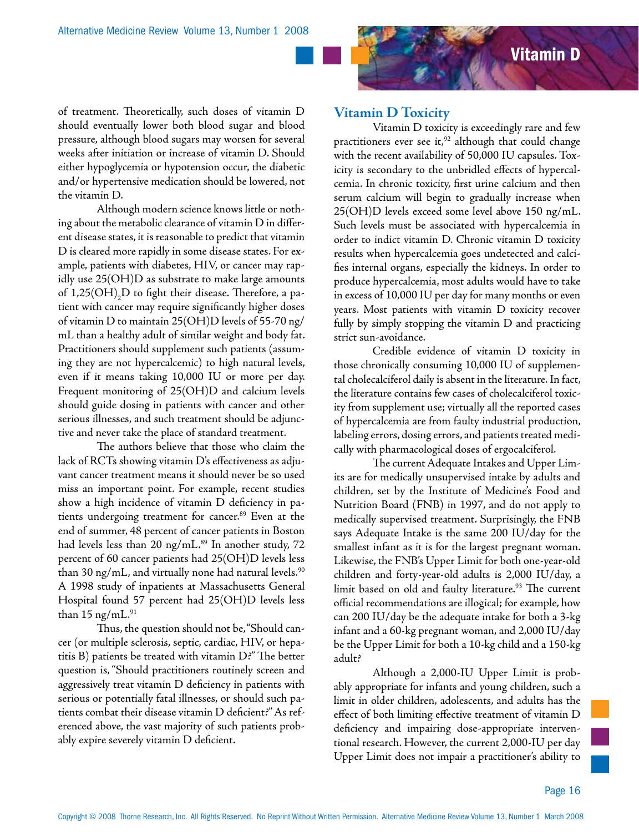

of treatment. Theoretically, such doses of vitamin D should eventually lower both blood sugar and blood pressure, although blood sugars may worsen for several weeks after initiation or increase of vitamin D. Should either hypoglycemia or hypotension occur, the diabetic and/or hypertensive medication should be lowered, not the vitamin D.

Although modern science knows little or nothing about the metabolic clearance of vitamin D in different disease states, it is reasonable to predict that vitamin D is cleared more rapidly in some disease states. For example, patients with diabetes, HIV, or cancer may rapidly use 25(OH)D as substrate to make large amounts of 1,25(OH) $_{\textrm{\scriptsize{2}}}$ D to fight their disease. Therefore, a patient with cancer may require significantly higher doses of vitamin D to maintain 25(OH)D levels of 55-70 ng/ mL than a healthy adult of similar weight and body fat. Practitioners should supplement such patients (assuming they are not hypercalcemic) to high natural levels, even if it means taking 10,000 IU or more per day. Frequent monitoring of 25(OH)D and calcium levels should guide dosing in patients with cancer and other serious illnesses, and such treatment should be adjunctive and never take the place of standard treatment.

The authors believe that those who claim the lack of RCTs showing vitamin D's effectiveness as adjuvant cancer treatment means it should never be so used miss an important point. For example, recent studies show a high incidence of vitamin D deficiency in patients undergoing treatment for cancer.<sup>89</sup> Even at the end of summer, 48 percent of cancer patients in Boston had levels less than 20 ng/mL. $89$  In another study, 72 percent of 60 cancer patients had 25(OH)D levels less than 30 ng/mL, and virtually none had natural levels. $^{90}$ A 1998 study of inpatients at Massachusetts General Hospital found 57 percent had 25(OH)D levels less than 15 ng/mL. $91$ 

Thus, the question should not be, "Should cancer (or multiple sclerosis, septic, cardiac, HIV, or hepatitis B) patients be treated with vitamin D?" The better question is, "Should practitioners routinely screen and aggressively treat vitamin D deficiency in patients with serious or potentially fatal illnesses, or should such patients combat their disease vitamin D deficient?" As referenced above, the vast majority of such patients probably expire severely vitamin D deficient.

#### **Vitamin D Toxicity**

Vitamin D toxicity is exceedingly rare and few practitioners ever see it, $92$  although that could change with the recent availability of 50,000 IU capsules. Toxicity is secondary to the unbridled effects of hypercalcemia. In chronic toxicity, first urine calcium and then serum calcium will begin to gradually increase when 25(OH)D levels exceed some level above 150 ng/mL. Such levels must be associated with hypercalcemia in order to indict vitamin D. Chronic vitamin D toxicity results when hypercalcemia goes undetected and calcifies internal organs, especially the kidneys. In order to produce hypercalcemia, most adults would have to take in excess of 10,000 IU per day for many months or even years. Most patients with vitamin D toxicity recover fully by simply stopping the vitamin D and practicing strict sun-avoidance.

Credible evidence of vitamin D toxicity in those chronically consuming 10,000 IU of supplemental cholecalciferol daily is absent in the literature. In fact, the literature contains few cases of cholecalciferol toxicity from supplement use; virtually all the reported cases of hypercalcemia are from faulty industrial production, labeling errors, dosing errors, and patients treated medically with pharmacological doses of ergocalciferol.

The current Adequate Intakes and Upper Limits are for medically unsupervised intake by adults and children, set by the Institute of Medicine's Food and Nutrition Board (FNB) in 1997, and do not apply to medically supervised treatment. Surprisingly, the FNB says Adequate Intake is the same 200 IU/day for the smallest infant as it is for the largest pregnant woman. Likewise, the FNB's Upper Limit for both one-year-old children and forty-year-old adults is 2,000 IU/day, a limit based on old and faulty literature.<sup>93</sup> The current official recommendations are illogical; for example, how can 200 IU/day be the adequate intake for both a 3-kg infant and a 60-kg pregnant woman, and 2,000 IU/day be the Upper Limit for both a 10-kg child and a 150-kg adult?

Although a 2,000-IU Upper Limit is probably appropriate for infants and young children, such a limit in older children, adolescents, and adults has the effect of both limiting effective treatment of vitamin D deficiency and impairing dose-appropriate interventional research. However, the current 2,000-IU per day Upper Limit does not impair a practitioner's ability to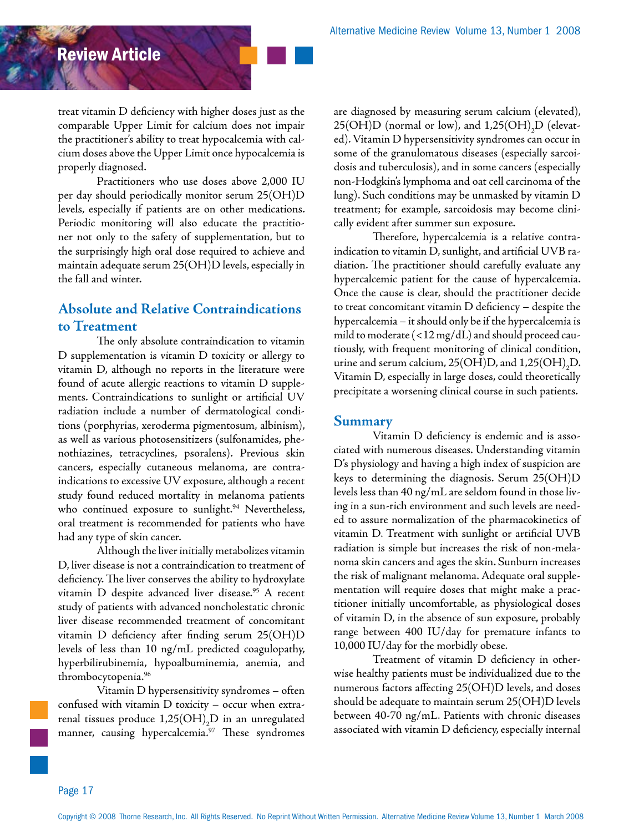treat vitamin D deficiency with higher doses just as the comparable Upper Limit for calcium does not impair the practitioner's ability to treat hypocalcemia with calcium doses above the Upper Limit once hypocalcemia is properly diagnosed.

Practitioners who use doses above 2,000 IU per day should periodically monitor serum 25(OH)D levels, especially if patients are on other medications. Periodic monitoring will also educate the practitioner not only to the safety of supplementation, but to the surprisingly high oral dose required to achieve and maintain adequate serum 25(OH)D levels, especially in the fall and winter.

### **Absolute and Relative Contraindications to Treatment**

The only absolute contraindication to vitamin D supplementation is vitamin D toxicity or allergy to vitamin D, although no reports in the literature were found of acute allergic reactions to vitamin D supplements. Contraindications to sunlight or artificial UV radiation include a number of dermatological conditions (porphyrias, xeroderma pigmentosum, albinism), as well as various photosensitizers (sulfonamides, phenothiazines, tetracyclines, psoralens). Previous skin cancers, especially cutaneous melanoma, are contraindications to excessive UV exposure, although a recent study found reduced mortality in melanoma patients who continued exposure to sunlight.<sup>94</sup> Nevertheless, oral treatment is recommended for patients who have had any type of skin cancer.

Although the liver initially metabolizes vitamin D, liver disease is not a contraindication to treatment of deficiency. The liver conserves the ability to hydroxylate vitamin D despite advanced liver disease.<sup>95</sup> A recent study of patients with advanced noncholestatic chronic liver disease recommended treatment of concomitant vitamin D deficiency after finding serum 25(OH)D levels of less than 10 ng/mL predicted coagulopathy, hyperbilirubinemia, hypoalbuminemia, anemia, and thrombocytopenia.96

Vitamin D hypersensitivity syndromes – often confused with vitamin D toxicity – occur when extrarenal tissues produce  $1,\!25\mathrm{(OH)}_2\mathrm{D}$  in an unregulated manner, causing hypercalcemia.<sup>97</sup> These syndromes

are diagnosed by measuring serum calcium (elevated), 25(OH)D (normal or low), and  $1,25 \text{(OH)}_{2}\text{D}$  (elevated). Vitamin D hypersensitivity syndromes can occur in some of the granulomatous diseases (especially sarcoidosis and tuberculosis), and in some cancers (especially non-Hodgkin's lymphoma and oat cell carcinoma of the lung). Such conditions may be unmasked by vitamin D treatment; for example, sarcoidosis may become clinically evident after summer sun exposure.

Therefore, hypercalcemia is a relative contraindication to vitamin D, sunlight, and artificial UVB radiation. The practitioner should carefully evaluate any hypercalcemic patient for the cause of hypercalcemia. Once the cause is clear, should the practitioner decide to treat concomitant vitamin D deficiency – despite the hypercalcemia – it should only be if the hypercalcemia is mild to moderate (<12 mg/dL) and should proceed cautiously, with frequent monitoring of clinical condition, urine and serum calcium, 25(OH)D, and 1,25(OH)<sub>2</sub>D. Vitamin D, especially in large doses, could theoretically precipitate a worsening clinical course in such patients.

#### **Summary**

Vitamin D deficiency is endemic and is associated with numerous diseases. Understanding vitamin D's physiology and having a high index of suspicion are keys to determining the diagnosis. Serum 25(OH)D levels less than 40 ng/mL are seldom found in those living in a sun-rich environment and such levels are needed to assure normalization of the pharmacokinetics of vitamin D. Treatment with sunlight or artificial UVB radiation is simple but increases the risk of non-melanoma skin cancers and ages the skin. Sunburn increases the risk of malignant melanoma. Adequate oral supplementation will require doses that might make a practitioner initially uncomfortable, as physiological doses of vitamin D, in the absence of sun exposure, probably range between 400 IU/day for premature infants to 10,000 IU/day for the morbidly obese.

Treatment of vitamin D deficiency in otherwise healthy patients must be individualized due to the numerous factors affecting 25(OH)D levels, and doses should be adequate to maintain serum 25(OH)D levels between 40-70 ng/mL. Patients with chronic diseases associated with vitamin D deficiency, especially internal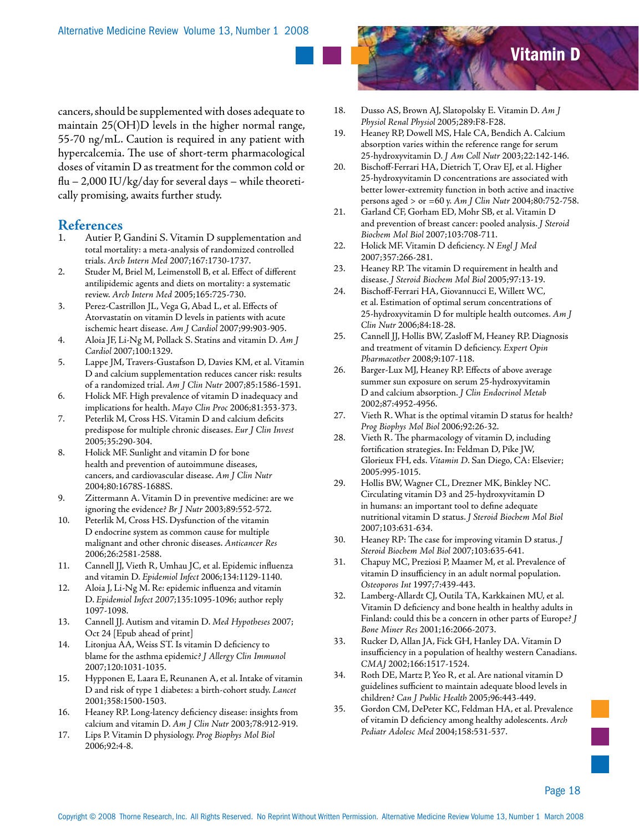cancers, should be supplemented with doses adequate to maintain 25(OH)D levels in the higher normal range, 55-70 ng/mL. Caution is required in any patient with hypercalcemia. The use of short-term pharmacological doses of vitamin D as treatment for the common cold or  $flu - 2,000 \mathrm{~IU/kg/day}$  for several days – while theoretically promising, awaits further study.

# **References**

- Autier P, Gandini S. Vitamin D supplementation and total mortality: a meta-analysis of randomized controlled trials. *Arch Intern Med* 2007;167:1730-1737.
- 2. Studer M, Briel M, Leimenstoll B, et al. Effect of different antilipidemic agents and diets on mortality: a systematic review. *Arch Intern Med* 2005;165:725-730.
- 3. Perez-Castrillon JL, Vega G, Abad L, et al. Effects of Atorvastatin on vitamin D levels in patients with acute ischemic heart disease. *Am J Cardiol* 2007;99:903-905.
- 4. Aloia JF, Li-Ng M, Pollack S. Statins and vitamin D. *Am J Cardiol* 2007;100:1329.
- 5. Lappe JM, Travers-Gustafson D, Davies KM, et al. Vitamin D and calcium supplementation reduces cancer risk: results of a randomized trial. *Am J Clin Nutr* 2007;85:1586-1591.
- 6. Holick MF. High prevalence of vitamin D inadequacy and implications for health. *Mayo Clin Proc* 2006;81:353-373.
- 7. Peterlik M, Cross HS. Vitamin D and calcium deficits predispose for multiple chronic diseases. *Eur J Clin Invest* 2005;35:290-304.
- 8. Holick MF. Sunlight and vitamin D for bone health and prevention of autoimmune diseases, cancers, and cardiovascular disease. *Am J Clin Nutr* 2004;80:1678S-1688S.
- 9. Zittermann A. Vitamin D in preventive medicine: are we ignoring the evidence? *Br J Nutr* 2003;89:552-572.
- 10. Peterlik M, Cross HS. Dysfunction of the vitamin D endocrine system as common cause for multiple malignant and other chronic diseases. *Anticancer Res* 2006;26:2581-2588.
- 11. Cannell JJ, Vieth R, Umhau JC, et al. Epidemic influenza and vitamin D. *Epidemiol Infect* 2006;134:1129-1140.
- 12. Aloia J, Li-Ng M. Re: epidemic influenza and vitamin D. *Epidemiol Infect 2007*;135:1095-1096; author reply 1097-1098.
- 13. Cannell JJ. Autism and vitamin D. *Med Hypotheses* 2007; Oct 24 [Epub ahead of print]
- 14. Litonjua AA, Weiss ST. Is vitamin D deficiency to blame for the asthma epidemic? *J Allergy Clin Immunol* 2007;120:1031-1035.
- 15. Hypponen E, Laara E, Reunanen A, et al. Intake of vitamin D and risk of type 1 diabetes: a birth-cohort study. *Lancet* 2001;358:1500-1503.
- 16. Heaney RP. Long-latency deficiency disease: insights from calcium and vitamin D. *Am J Clin Nutr* 2003;78:912-919.
- 17. Lips P. Vitamin D physiology. *Prog Biophys Mol Biol* 2006;92:4-8.



- 18. Dusso AS, Brown AJ, Slatopolsky E. Vitamin D. *Am J Physiol Renal Physiol* 2005;289:F8-F28.
- 19. Heaney RP, Dowell MS, Hale CA, Bendich A. Calcium absorption varies within the reference range for serum 25-hydroxyvitamin D. *J Am Coll Nutr* 2003;22:142-146.
- 20. Bischoff-Ferrari HA, Dietrich T, Orav EJ, et al. Higher 25-hydroxyvitamin D concentrations are associated with better lower-extremity function in both active and inactive persons aged > or =60 y. *Am J Clin Nutr* 2004;80:752-758.
- 21. Garland CF, Gorham ED, Mohr SB, et al. Vitamin D and prevention of breast cancer: pooled analysis. *J Steroid Biochem Mol Biol* 2007;103:708-711.
- 22. Holick MF. Vitamin D deficiency. *N Engl J Med* 2007;357:266-281.
- 23. Heaney RP. The vitamin D requirement in health and disease. *J Steroid Biochem Mol Biol* 2005;97:13-19.
- 24. Bischoff-Ferrari HA, Giovannucci E, Willett WC, et al. Estimation of optimal serum concentrations of 25-hydroxyvitamin D for multiple health outcomes. *Am J Clin Nutr* 2006;84:18-28.
- 25. Cannell JJ, Hollis BW, Zasloff M, Heaney RP. Diagnosis and treatment of vitamin D deficiency. *Expert Opin Pharmacother* 2008;9:107-118.
- 26. Barger-Lux MJ, Heaney RP. Effects of above average summer sun exposure on serum 25-hydroxyvitamin D and calcium absorption. *J Clin Endocrinol Metab* 2002;87:4952-4956.
- 27. Vieth R. What is the optimal vitamin D status for health? *Prog Biophys Mol Biol* 2006;92:26-32.
- 28. Vieth R. The pharmacology of vitamin D, including fortification strategies. In: Feldman D, Pike JW, Glorieux FH, eds. *Vitamin D*. San Diego, CA: Elsevier; 2005:995-1015.
- 29. Hollis BW, Wagner CL, Drezner MK, Binkley NC. Circulating vitamin D3 and 25-hydroxyvitamin D in humans: an important tool to define adequate nutritional vitamin D status. *J Steroid Biochem Mol Biol* 2007;103:631-634.
- 30. Heaney RP: The case for improving vitamin D status. *J Steroid Biochem Mol Biol* 2007;103:635-641.
- 31. Chapuy MC, Preziosi P, Maamer M, et al. Prevalence of vitamin D insufficiency in an adult normal population. *Osteoporos Int* 1997;7:439-443.
- 32. Lamberg-Allardt CJ, Outila TA, Karkkainen MU, et al. Vitamin D deficiency and bone health in healthy adults in Finland: could this be a concern in other parts of Europe? *J Bone Miner Res* 2001;16:2066-2073.
- 33. Rucker D, Allan JA, Fick GH, Hanley DA. Vitamin D insufficiency in a population of healthy western Canadians. *CMAJ* 2002;166:1517-1524.
- 34. Roth DE, Martz P, Yeo R, et al. Are national vitamin D guidelines sufficient to maintain adequate blood levels in children? *Can J Public Health* 2005;96:443-449.
- 35. Gordon CM, DePeter KC, Feldman HA, et al. Prevalence of vitamin D deficiency among healthy adolescents. *Arch Pediatr Adolesc Med* 2004;158:531-537.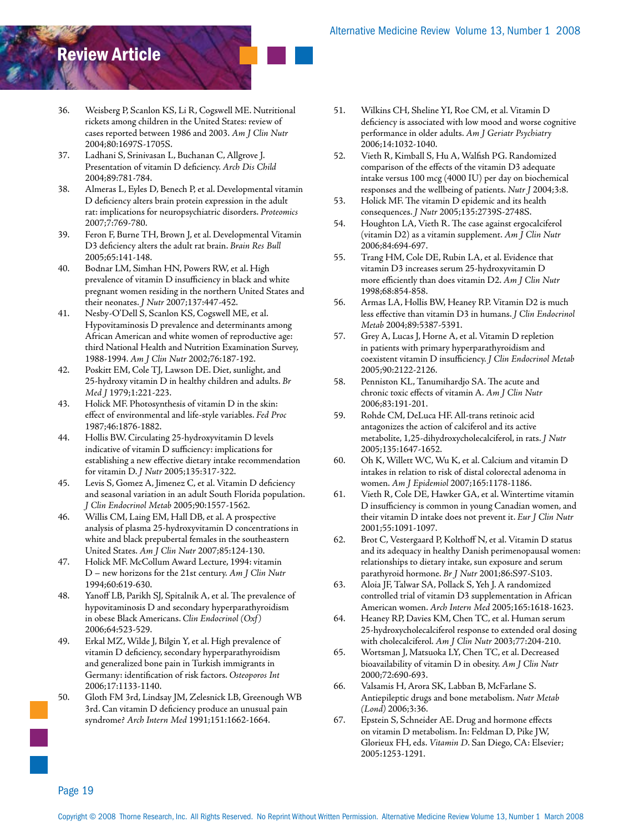- 36. Weisberg P, Scanlon KS, Li R, Cogswell ME. Nutritional rickets among children in the United States: review of cases reported between 1986 and 2003. *Am J Clin Nutr* 2004;80:1697S-1705S.
- 37. Ladhani S, Srinivasan L, Buchanan C, Allgrove J. Presentation of vitamin D deficiency. *Arch Dis Child* 2004;89:781-784.
- 38. Almeras L, Eyles D, Benech P, et al. Developmental vitamin D deficiency alters brain protein expression in the adult rat: implications for neuropsychiatric disorders. *Proteomics* 2007;7:769-780.
- 39. Feron F, Burne TH, Brown J, et al. Developmental Vitamin D3 deficiency alters the adult rat brain. *Brain Res Bull* 2005;65:141-148.
- 40. Bodnar LM, Simhan HN, Powers RW, et al. High prevalence of vitamin D insufficiency in black and white pregnant women residing in the northern United States and their neonates. *J Nutr* 2007;137:447-452.
- 41. Nesby-O'Dell S, Scanlon KS, Cogswell ME, et al. Hypovitaminosis D prevalence and determinants among African American and white women of reproductive age: third National Health and Nutrition Examination Survey, 1988-1994. *Am J Clin Nutr* 2002;76:187-192.
- 42. Poskitt EM, Cole TJ, Lawson DE. Diet, sunlight, and 25-hydroxy vitamin D in healthy children and adults. *Br Med J* 1979;1:221-223.
- 43. Holick MF. Photosynthesis of vitamin D in the skin: effect of environmental and life-style variables. *Fed Proc* 1987;46:1876-1882.
- 44. Hollis BW. Circulating 25-hydroxyvitamin D levels indicative of vitamin D sufficiency: implications for establishing a new effective dietary intake recommendation for vitamin D. *J Nutr* 2005;135:317-322.
- 45. Levis S, Gomez A, Jimenez C, et al. Vitamin D deficiency and seasonal variation in an adult South Florida population. *J Clin Endocrinol Metab* 2005;90:1557-1562.
- 46. Willis CM, Laing EM, Hall DB, et al. A prospective analysis of plasma 25-hydroxyvitamin D concentrations in white and black prepubertal females in the southeastern United States. *Am J Clin Nutr* 2007;85:124-130.
- 47. Holick MF. McCollum Award Lecture, 1994: vitamin D – new horizons for the 21st century. *Am J Clin Nutr* 1994;60:619-630.
- 48. Yanoff LB, Parikh SJ, Spitalnik A, et al. The prevalence of hypovitaminosis D and secondary hyperparathyroidism in obese Black Americans. *Clin Endocrinol (Oxf)* 2006;64:523-529.
- 49. Erkal MZ, Wilde J, Bilgin Y, et al. High prevalence of vitamin D deficiency, secondary hyperparathyroidism and generalized bone pain in Turkish immigrants in Germany: identification of risk factors. *Osteoporos Int* 2006;17:1133-1140.
- 50. Gloth FM 3rd, Lindsay JM, Zelesnick LB, Greenough WB 3rd. Can vitamin D deficiency produce an unusual pain syndrome? *Arch Intern Med* 1991;151:1662-1664.
- 51. Wilkins CH, Sheline YI, Roe CM, et al. Vitamin D deficiency is associated with low mood and worse cognitive performance in older adults. *Am J Geriatr Psychiatry* 2006;14:1032-1040.
- 52. Vieth R, Kimball S, Hu A, Walfish PG. Randomized comparison of the effects of the vitamin D3 adequate intake versus 100 mcg (4000 IU) per day on biochemical responses and the wellbeing of patients. *Nutr J* 2004;3:8.
- 53. Holick MF. The vitamin D epidemic and its health consequences. *J Nutr* 2005;135:2739S-2748S.
- 54. Houghton LA, Vieth R. The case against ergocalciferol (vitamin D2) as a vitamin supplement. *Am J Clin Nutr* 2006;84:694-697.
- 55. Trang HM, Cole DE, Rubin LA, et al. Evidence that vitamin D3 increases serum 25-hydroxyvitamin D more efficiently than does vitamin D2. *Am J Clin Nutr* 1998;68:854-858.
- 56. Armas LA, Hollis BW, Heaney RP. Vitamin D2 is much less effective than vitamin D3 in humans. *J Clin Endocrinol Metab* 2004;89:5387-5391.
- 57. Grey A, Lucas J, Horne A, et al. Vitamin D repletion in patients with primary hyperparathyroidism and coexistent vitamin D insufficiency. *J Clin Endocrinol Metab* 2005;90:2122-2126.
- 58. Penniston KL, Tanumihardjo SA. The acute and chronic toxic effects of vitamin A. *Am J Clin Nutr* 2006;83:191-201.
- 59. Rohde CM, DeLuca HF. All-trans retinoic acid antagonizes the action of calciferol and its active metabolite, 1,25-dihydroxycholecalciferol, in rats. *J Nutr* 2005;135:1647-1652.
- 60. Oh K, Willett WC, Wu K, et al. Calcium and vitamin D intakes in relation to risk of distal colorectal adenoma in women. *Am J Epidemiol* 2007;165:1178-1186.
- 61. Vieth R, Cole DE, Hawker GA, et al. Wintertime vitamin D insufficiency is common in young Canadian women, and their vitamin D intake does not prevent it. *Eur J Clin Nutr* 2001;55:1091-1097.
- 62. Brot C, Vestergaard P, Kolthoff N, et al. Vitamin D status and its adequacy in healthy Danish perimenopausal women: relationships to dietary intake, sun exposure and serum parathyroid hormone. *Br J Nutr* 2001;86:S97-S103.
- 63. Aloia JF, Talwar SA, Pollack S, Yeh J. A randomized controlled trial of vitamin D3 supplementation in African American women. *Arch Intern Med* 2005;165:1618-1623.
- 64. Heaney RP, Davies KM, Chen TC, et al. Human serum 25-hydroxycholecalciferol response to extended oral dosing with cholecalciferol. *Am J Clin Nutr* 2003;77:204-210.
- 65. Wortsman J, Matsuoka LY, Chen TC, et al. Decreased bioavailability of vitamin D in obesity. *Am J Clin Nutr* 2000;72:690-693.
- 66. Valsamis H, Arora SK, Labban B, McFarlane S. Antiepileptic drugs and bone metabolism. *Nutr Metab (Lond)* 2006;3:36.
- 67. Epstein S, Schneider AE. Drug and hormone effects on vitamin D metabolism. In: Feldman D, Pike JW, Glorieux FH, eds. *Vitamin D*. San Diego, CA: Elsevier; 2005:1253-1291.